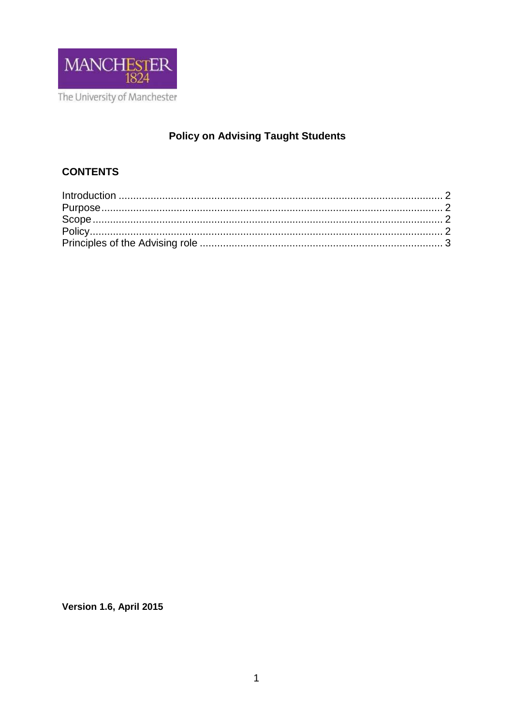

# **Policy on Advising Taught Students**

# **CONTENTS**

Version 1.6, April 2015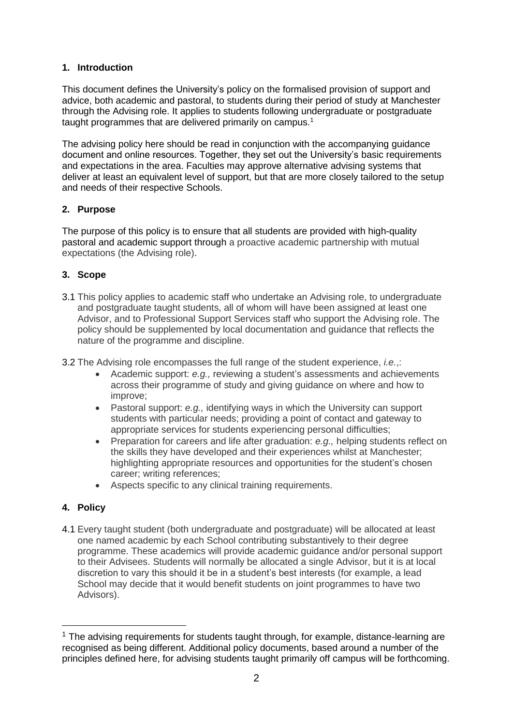#### **1. Introduction**

This document defines the University's policy on the formalised provision of support and advice, both academic and pastoral, to students during their period of study at Manchester through the Advising role. It applies to students following undergraduate or postgraduate taught programmes that are delivered primarily on campus.<sup>1</sup>

The advising policy here should be read in conjunction with the accompanying guidance document and online resources. Together, they set out the University's basic requirements and expectations in the area. Faculties may approve alternative advising systems that deliver at least an equivalent level of support, but that are more closely tailored to the setup and needs of their respective Schools.

#### **2. Purpose**

The purpose of this policy is to ensure that all students are provided with high-quality pastoral and academic support through a proactive academic partnership with mutual expectations (the Advising role).

#### **3. Scope**

- 3.1 This policy applies to academic staff who undertake an Advising role, to undergraduate and postgraduate taught students, all of whom will have been assigned at least one Advisor, and to Professional Support Services staff who support the Advising role. The policy should be supplemented by local documentation and guidance that reflects the nature of the programme and discipline.
- 3.2 The Advising role encompasses the full range of the student experience, *i.e.*,:
	- Academic support: *e.g.,* reviewing a student's assessments and achievements across their programme of study and giving guidance on where and how to improve;
	- Pastoral support: *e.g.,* identifying ways in which the University can support students with particular needs; providing a point of contact and gateway to appropriate services for students experiencing personal difficulties;
	- Preparation for careers and life after graduation: *e.g.,* helping students reflect on the skills they have developed and their experiences whilst at Manchester; highlighting appropriate resources and opportunities for the student's chosen career; writing references;
	- Aspects specific to any clinical training requirements.

## **4. Policy**

<u>.</u>

4.1 Every taught student (both undergraduate and postgraduate) will be allocated at least one named academic by each School contributing substantively to their degree programme. These academics will provide academic guidance and/or personal support to their Advisees. Students will normally be allocated a single Advisor, but it is at local discretion to vary this should it be in a student's best interests (for example, a lead School may decide that it would benefit students on joint programmes to have two Advisors).

 $1$  The advising requirements for students taught through, for example, distance-learning are recognised as being different. Additional policy documents, based around a number of the principles defined here, for advising students taught primarily off campus will be forthcoming.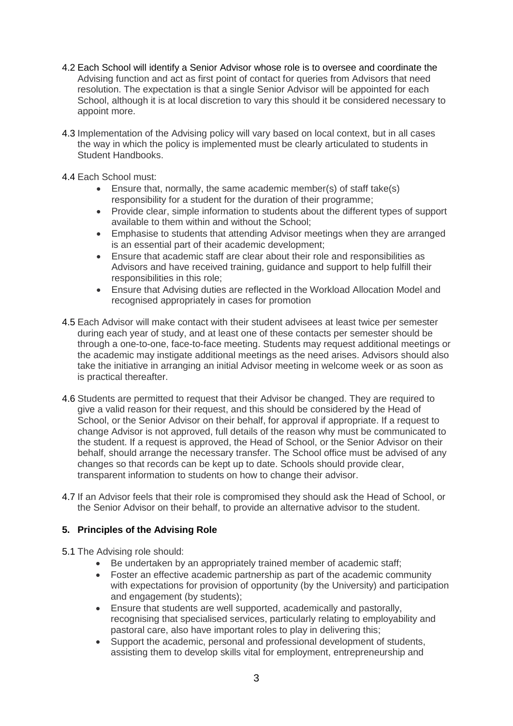- 4.2 Each School will identify a Senior Advisor whose role is to oversee and coordinate the Advising function and act as first point of contact for queries from Advisors that need resolution. The expectation is that a single Senior Advisor will be appointed for each School, although it is at local discretion to vary this should it be considered necessary to appoint more.
- 4.3 Implementation of the Advising policy will vary based on local context, but in all cases the way in which the policy is implemented must be clearly articulated to students in Student Handbooks.
- 4.4 Each School must:
	- Ensure that, normally, the same academic member(s) of staff take(s) responsibility for a student for the duration of their programme;
	- Provide clear, simple information to students about the different types of support available to them within and without the School;
	- Emphasise to students that attending Advisor meetings when they are arranged is an essential part of their academic development;
	- Ensure that academic staff are clear about their role and responsibilities as Advisors and have received training, guidance and support to help fulfill their responsibilities in this role;
	- Ensure that Advising duties are reflected in the Workload Allocation Model and recognised appropriately in cases for promotion
- 4.5 Each Advisor will make contact with their student advisees at least twice per semester during each year of study, and at least one of these contacts per semester should be through a one-to-one, face-to-face meeting. Students may request additional meetings or the academic may instigate additional meetings as the need arises. Advisors should also take the initiative in arranging an initial Advisor meeting in welcome week or as soon as is practical thereafter.
- 4.6 Students are permitted to request that their Advisor be changed. They are required to give a valid reason for their request, and this should be considered by the Head of School, or the Senior Advisor on their behalf, for approval if appropriate. If a request to change Advisor is not approved, full details of the reason why must be communicated to the student. If a request is approved, the Head of School, or the Senior Advisor on their behalf, should arrange the necessary transfer. The School office must be advised of any changes so that records can be kept up to date. Schools should provide clear, transparent information to students on how to change their advisor.
- 4.7 If an Advisor feels that their role is compromised they should ask the Head of School, or the Senior Advisor on their behalf, to provide an alternative advisor to the student.

## **5. Principles of the Advising Role**

- 5.1 The Advising role should:
	- Be undertaken by an appropriately trained member of academic staff;
	- Foster an effective academic partnership as part of the academic community with expectations for provision of opportunity (by the University) and participation and engagement (by students);
	- Ensure that students are well supported, academically and pastorally, recognising that specialised services, particularly relating to employability and pastoral care, also have important roles to play in delivering this;
	- Support the academic, personal and professional development of students, assisting them to develop skills vital for employment, entrepreneurship and